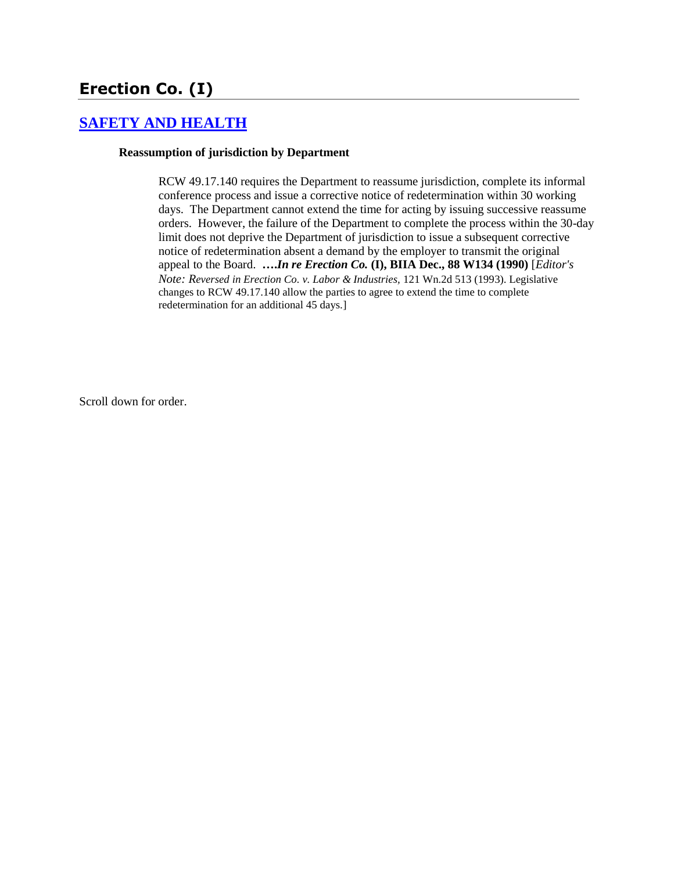# **Erection Co. (I)**

# **[SAFETY AND HEALTH](http://www.biia.wa.gov/SDSubjectIndex.html#SAFETY_AND_HEALTH)**

#### **Reassumption of jurisdiction by Department**

RCW 49.17.140 requires the Department to reassume jurisdiction, complete its informal conference process and issue a corrective notice of redetermination within 30 working days. The Department cannot extend the time for acting by issuing successive reassume orders. However, the failure of the Department to complete the process within the 30-day limit does not deprive the Department of jurisdiction to issue a subsequent corrective notice of redetermination absent a demand by the employer to transmit the original appeal to the Board. **….***In re Erection Co.* **(I), BIIA Dec., [88 W134](http://www.biia.wa.gov/significantdecisions/88w134.htm) (1990)** [*Editor's Note: Reversed in Erection Co. v. Labor & Industries,* 121 Wn.2d 513 (1993). Legislative changes to RCW 49.17.140 allow the parties to agree to extend the time to complete redetermination for an additional 45 days.]

Scroll down for order.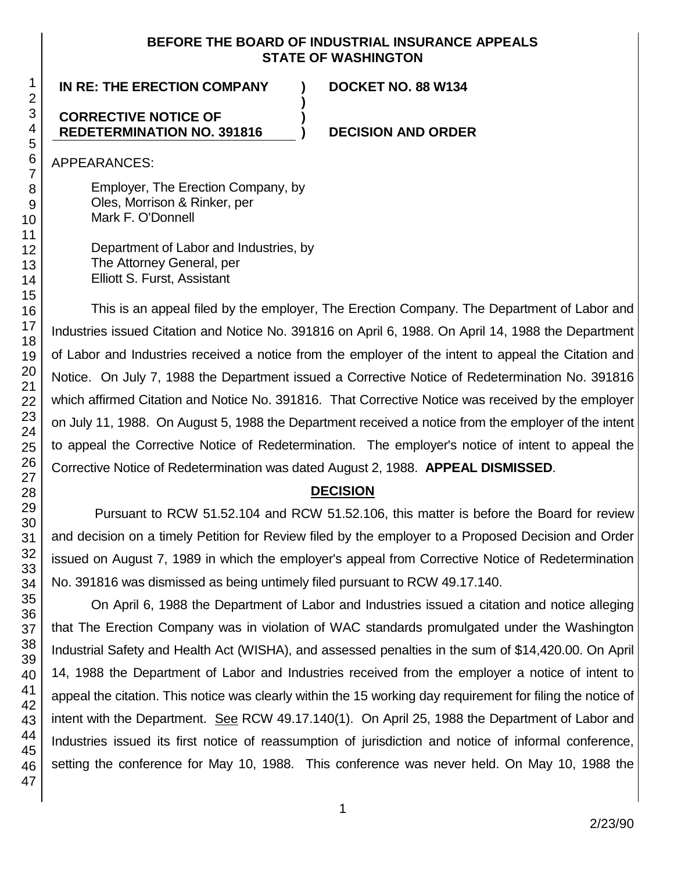#### **BEFORE THE BOARD OF INDUSTRIAL INSURANCE APPEALS STATE OF WASHINGTON**

**)**

**)**

# **IN RE: THE ERECTION COMPANY ) DOCKET NO. 88 W134**

### **CORRECTIVE NOTICE OF REDETERMINATION NO. 391816**

**) DECISION AND ORDER**

APPEARANCES:

Employer, The Erection Company, by Oles, Morrison & Rinker, per Mark F. O'Donnell

Department of Labor and Industries, by The Attorney General, per Elliott S. Furst, Assistant

This is an appeal filed by the employer, The Erection Company. The Department of Labor and Industries issued Citation and Notice No. 391816 on April 6, 1988. On April 14, 1988 the Department of Labor and Industries received a notice from the employer of the intent to appeal the Citation and Notice. On July 7, 1988 the Department issued a Corrective Notice of Redetermination No. 391816 which affirmed Citation and Notice No. 391816. That Corrective Notice was received by the employer on July 11, 1988. On August 5, 1988 the Department received a notice from the employer of the intent to appeal the Corrective Notice of Redetermination. The employer's notice of intent to appeal the Corrective Notice of Redetermination was dated August 2, 1988. **APPEAL DISMISSED**.

# **DECISION**

Pursuant to RCW 51.52.104 and RCW 51.52.106, this matter is before the Board for review and decision on a timely Petition for Review filed by the employer to a Proposed Decision and Order issued on August 7, 1989 in which the employer's appeal from Corrective Notice of Redetermination No. 391816 was dismissed as being untimely filed pursuant to RCW 49.17.140.

On April 6, 1988 the Department of Labor and Industries issued a citation and notice alleging that The Erection Company was in violation of WAC standards promulgated under the Washington Industrial Safety and Health Act (WISHA), and assessed penalties in the sum of \$14,420.00. On April 14, 1988 the Department of Labor and Industries received from the employer a notice of intent to appeal the citation. This notice was clearly within the 15 working day requirement for filing the notice of intent with the Department. See RCW 49.17.140(1). On April 25, 1988 the Department of Labor and Industries issued its first notice of reassumption of jurisdiction and notice of informal conference, setting the conference for May 10, 1988. This conference was never held. On May 10, 1988 the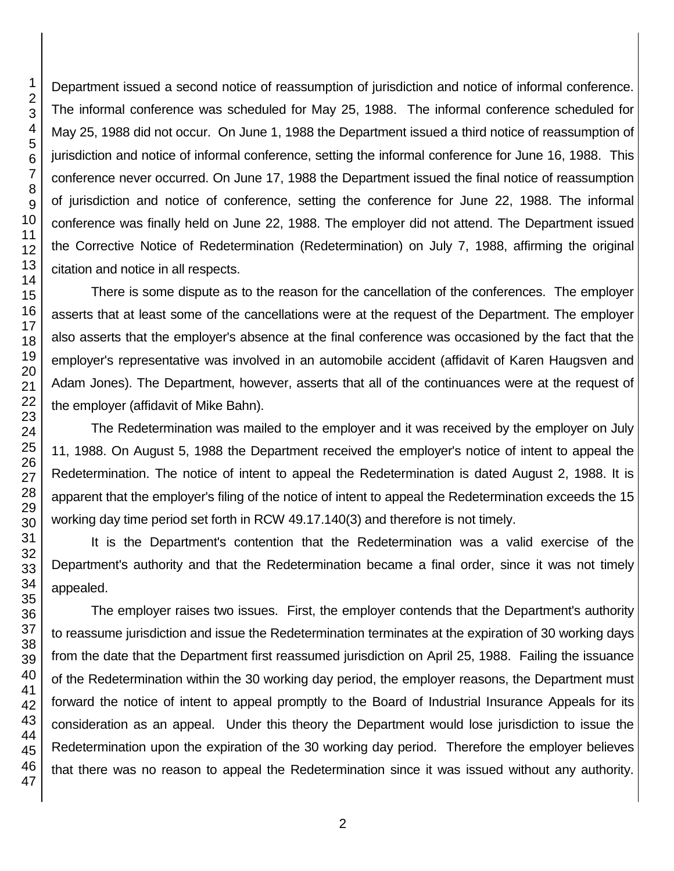Department issued a second notice of reassumption of jurisdiction and notice of informal conference. The informal conference was scheduled for May 25, 1988. The informal conference scheduled for May 25, 1988 did not occur. On June 1, 1988 the Department issued a third notice of reassumption of jurisdiction and notice of informal conference, setting the informal conference for June 16, 1988. This conference never occurred. On June 17, 1988 the Department issued the final notice of reassumption of jurisdiction and notice of conference, setting the conference for June 22, 1988. The informal conference was finally held on June 22, 1988. The employer did not attend. The Department issued the Corrective Notice of Redetermination (Redetermination) on July 7, 1988, affirming the original citation and notice in all respects.

There is some dispute as to the reason for the cancellation of the conferences. The employer asserts that at least some of the cancellations were at the request of the Department. The employer also asserts that the employer's absence at the final conference was occasioned by the fact that the employer's representative was involved in an automobile accident (affidavit of Karen Haugsven and Adam Jones). The Department, however, asserts that all of the continuances were at the request of the employer (affidavit of Mike Bahn).

The Redetermination was mailed to the employer and it was received by the employer on July 11, 1988. On August 5, 1988 the Department received the employer's notice of intent to appeal the Redetermination. The notice of intent to appeal the Redetermination is dated August 2, 1988. It is apparent that the employer's filing of the notice of intent to appeal the Redetermination exceeds the 15 working day time period set forth in RCW 49.17.140(3) and therefore is not timely.

It is the Department's contention that the Redetermination was a valid exercise of the Department's authority and that the Redetermination became a final order, since it was not timely appealed.

The employer raises two issues. First, the employer contends that the Department's authority to reassume jurisdiction and issue the Redetermination terminates at the expiration of 30 working days from the date that the Department first reassumed jurisdiction on April 25, 1988. Failing the issuance of the Redetermination within the 30 working day period, the employer reasons, the Department must forward the notice of intent to appeal promptly to the Board of Industrial Insurance Appeals for its consideration as an appeal. Under this theory the Department would lose jurisdiction to issue the Redetermination upon the expiration of the 30 working day period. Therefore the employer believes that there was no reason to appeal the Redetermination since it was issued without any authority.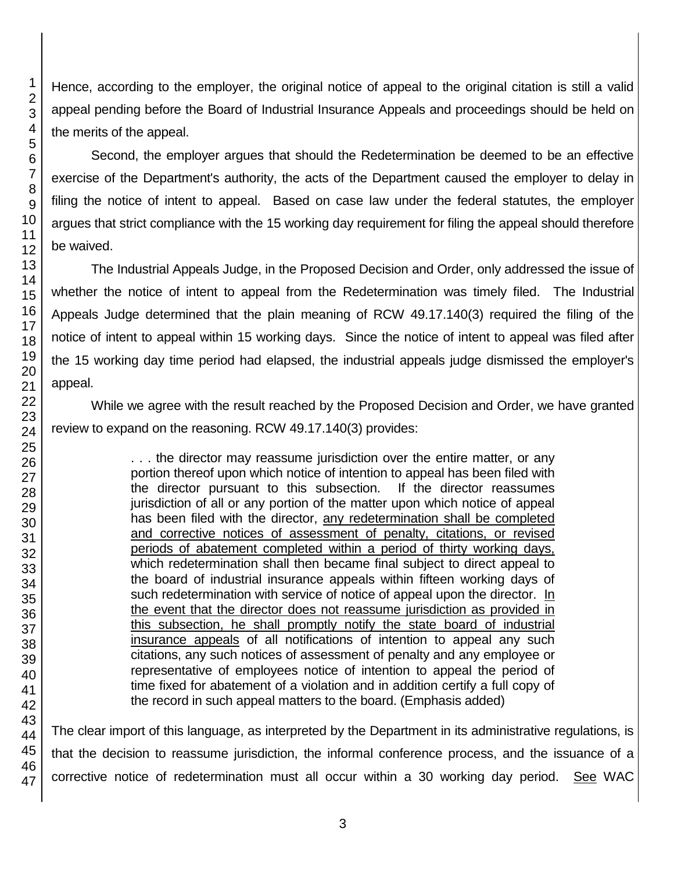Hence, according to the employer, the original notice of appeal to the original citation is still a valid appeal pending before the Board of Industrial Insurance Appeals and proceedings should be held on the merits of the appeal.

Second, the employer argues that should the Redetermination be deemed to be an effective exercise of the Department's authority, the acts of the Department caused the employer to delay in filing the notice of intent to appeal. Based on case law under the federal statutes, the employer argues that strict compliance with the 15 working day requirement for filing the appeal should therefore be waived.

The Industrial Appeals Judge, in the Proposed Decision and Order, only addressed the issue of whether the notice of intent to appeal from the Redetermination was timely filed. The Industrial Appeals Judge determined that the plain meaning of RCW 49.17.140(3) required the filing of the notice of intent to appeal within 15 working days. Since the notice of intent to appeal was filed after the 15 working day time period had elapsed, the industrial appeals judge dismissed the employer's appeal.

While we agree with the result reached by the Proposed Decision and Order, we have granted review to expand on the reasoning. RCW 49.17.140(3) provides:

> . . . the director may reassume jurisdiction over the entire matter, or any portion thereof upon which notice of intention to appeal has been filed with the director pursuant to this subsection. If the director reassumes jurisdiction of all or any portion of the matter upon which notice of appeal has been filed with the director, any redetermination shall be completed and corrective notices of assessment of penalty, citations, or revised periods of abatement completed within a period of thirty working days, which redetermination shall then became final subject to direct appeal to the board of industrial insurance appeals within fifteen working days of such redetermination with service of notice of appeal upon the director. In the event that the director does not reassume jurisdiction as provided in this subsection, he shall promptly notify the state board of industrial insurance appeals of all notifications of intention to appeal any such citations, any such notices of assessment of penalty and any employee or representative of employees notice of intention to appeal the period of time fixed for abatement of a violation and in addition certify a full copy of the record in such appeal matters to the board. (Emphasis added)

The clear import of this language, as interpreted by the Department in its administrative regulations, is that the decision to reassume jurisdiction, the informal conference process, and the issuance of a corrective notice of redetermination must all occur within a 30 working day period. See WAC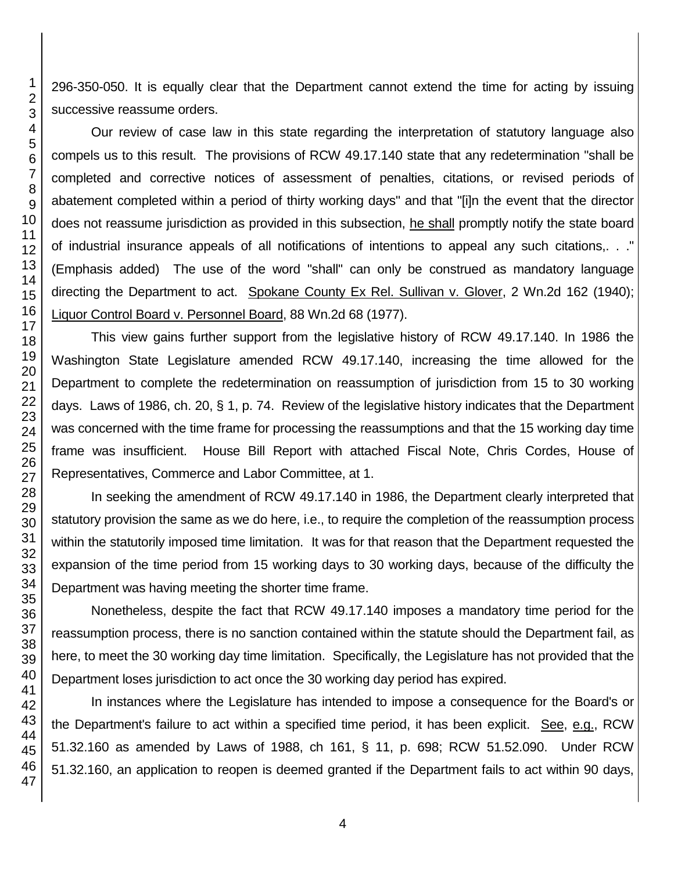296-350-050. It is equally clear that the Department cannot extend the time for acting by issuing successive reassume orders.

Our review of case law in this state regarding the interpretation of statutory language also compels us to this result. The provisions of RCW 49.17.140 state that any redetermination "shall be completed and corrective notices of assessment of penalties, citations, or revised periods of abatement completed within a period of thirty working days" and that "[i]n the event that the director does not reassume jurisdiction as provided in this subsection, he shall promptly notify the state board of industrial insurance appeals of all notifications of intentions to appeal any such citations,. . ." (Emphasis added) The use of the word "shall" can only be construed as mandatory language directing the Department to act. Spokane County Ex Rel. Sullivan v. Glover, 2 Wn.2d 162 (1940); Liquor Control Board v. Personnel Board, 88 Wn.2d 68 (1977).

This view gains further support from the legislative history of RCW 49.17.140. In 1986 the Washington State Legislature amended RCW 49.17.140, increasing the time allowed for the Department to complete the redetermination on reassumption of jurisdiction from 15 to 30 working days. Laws of 1986, ch. 20, § 1, p. 74. Review of the legislative history indicates that the Department was concerned with the time frame for processing the reassumptions and that the 15 working day time frame was insufficient. House Bill Report with attached Fiscal Note, Chris Cordes, House of Representatives, Commerce and Labor Committee, at 1.

In seeking the amendment of RCW 49.17.140 in 1986, the Department clearly interpreted that statutory provision the same as we do here, i.e., to require the completion of the reassumption process within the statutorily imposed time limitation. It was for that reason that the Department requested the expansion of the time period from 15 working days to 30 working days, because of the difficulty the Department was having meeting the shorter time frame.

Nonetheless, despite the fact that RCW 49.17.140 imposes a mandatory time period for the reassumption process, there is no sanction contained within the statute should the Department fail, as here, to meet the 30 working day time limitation. Specifically, the Legislature has not provided that the Department loses jurisdiction to act once the 30 working day period has expired.

In instances where the Legislature has intended to impose a consequence for the Board's or the Department's failure to act within a specified time period, it has been explicit. See, e.g., RCW 51.32.160 as amended by Laws of 1988, ch 161, § 11, p. 698; RCW 51.52.090. Under RCW 51.32.160, an application to reopen is deemed granted if the Department fails to act within 90 days,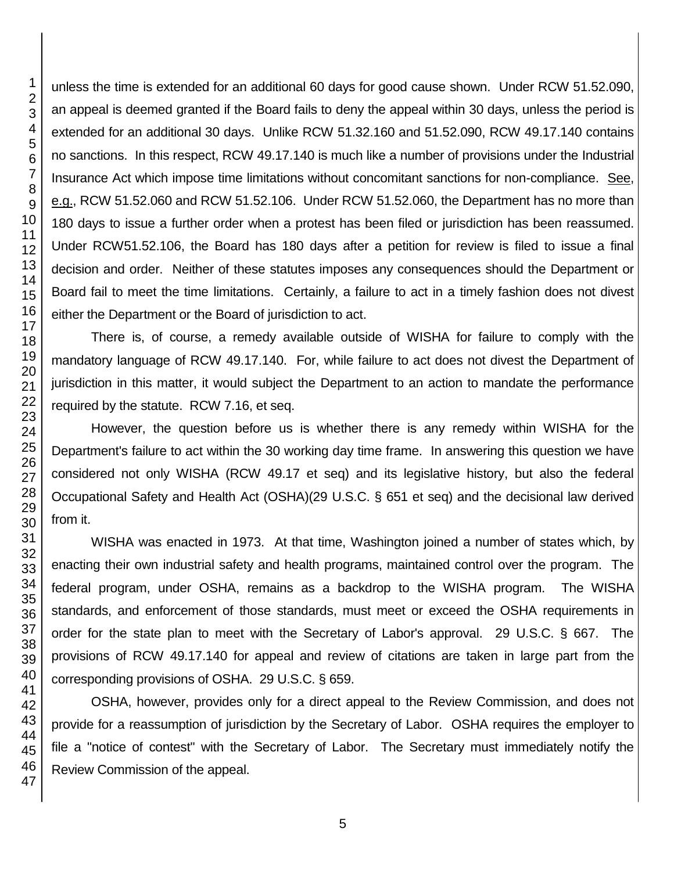unless the time is extended for an additional 60 days for good cause shown. Under RCW 51.52.090, an appeal is deemed granted if the Board fails to deny the appeal within 30 days, unless the period is extended for an additional 30 days. Unlike RCW 51.32.160 and 51.52.090, RCW 49.17.140 contains no sanctions. In this respect, RCW 49.17.140 is much like a number of provisions under the Industrial Insurance Act which impose time limitations without concomitant sanctions for non-compliance. See, e.g., RCW 51.52.060 and RCW 51.52.106. Under RCW 51.52.060, the Department has no more than 180 days to issue a further order when a protest has been filed or jurisdiction has been reassumed. Under RCW51.52.106, the Board has 180 days after a petition for review is filed to issue a final decision and order. Neither of these statutes imposes any consequences should the Department or Board fail to meet the time limitations. Certainly, a failure to act in a timely fashion does not divest either the Department or the Board of jurisdiction to act.

There is, of course, a remedy available outside of WISHA for failure to comply with the mandatory language of RCW 49.17.140. For, while failure to act does not divest the Department of jurisdiction in this matter, it would subject the Department to an action to mandate the performance required by the statute. RCW 7.16, et seq.

However, the question before us is whether there is any remedy within WISHA for the Department's failure to act within the 30 working day time frame. In answering this question we have considered not only WISHA (RCW 49.17 et seq) and its legislative history, but also the federal Occupational Safety and Health Act (OSHA)(29 U.S.C. § 651 et seq) and the decisional law derived from it.

WISHA was enacted in 1973. At that time, Washington joined a number of states which, by enacting their own industrial safety and health programs, maintained control over the program. The federal program, under OSHA, remains as a backdrop to the WISHA program. The WISHA standards, and enforcement of those standards, must meet or exceed the OSHA requirements in order for the state plan to meet with the Secretary of Labor's approval. 29 U.S.C. § 667. The provisions of RCW 49.17.140 for appeal and review of citations are taken in large part from the corresponding provisions of OSHA. 29 U.S.C. § 659.

OSHA, however, provides only for a direct appeal to the Review Commission, and does not provide for a reassumption of jurisdiction by the Secretary of Labor. OSHA requires the employer to file a "notice of contest" with the Secretary of Labor. The Secretary must immediately notify the Review Commission of the appeal.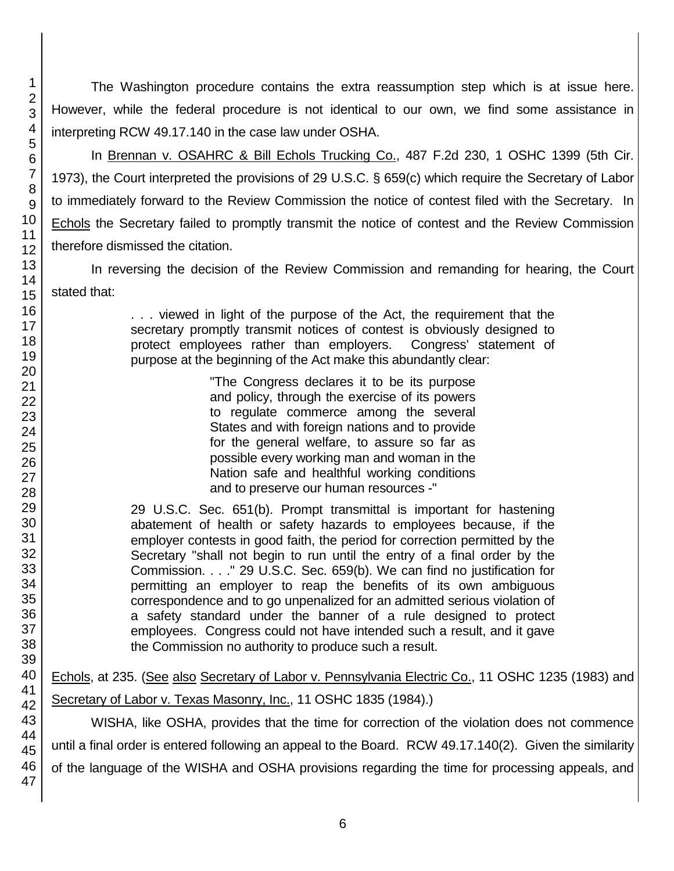The Washington procedure contains the extra reassumption step which is at issue here. However, while the federal procedure is not identical to our own, we find some assistance in interpreting RCW 49.17.140 in the case law under OSHA.

In Brennan v. OSAHRC & Bill Echols Trucking Co., 487 F.2d 230, 1 OSHC 1399 (5th Cir. 1973), the Court interpreted the provisions of 29 U.S.C. § 659(c) which require the Secretary of Labor to immediately forward to the Review Commission the notice of contest filed with the Secretary. In Echols the Secretary failed to promptly transmit the notice of contest and the Review Commission therefore dismissed the citation.

In reversing the decision of the Review Commission and remanding for hearing, the Court stated that:

> . . . viewed in light of the purpose of the Act, the requirement that the secretary promptly transmit notices of contest is obviously designed to protect employees rather than employers. Congress' statement of purpose at the beginning of the Act make this abundantly clear:

> > "The Congress declares it to be its purpose and policy, through the exercise of its powers to regulate commerce among the several States and with foreign nations and to provide for the general welfare, to assure so far as possible every working man and woman in the Nation safe and healthful working conditions and to preserve our human resources -"

29 U.S.C. Sec. 651(b). Prompt transmittal is important for hastening abatement of health or safety hazards to employees because, if the employer contests in good faith, the period for correction permitted by the Secretary "shall not begin to run until the entry of a final order by the Commission. . . ." 29 U.S.C. Sec. 659(b). We can find no justification for permitting an employer to reap the benefits of its own ambiguous correspondence and to go unpenalized for an admitted serious violation of a safety standard under the banner of a rule designed to protect employees. Congress could not have intended such a result, and it gave the Commission no authority to produce such a result.

Echols, at 235. (See also Secretary of Labor v. Pennsylvania Electric Co., 11 OSHC 1235 (1983) and Secretary of Labor v. Texas Masonry, Inc., 11 OSHC 1835 (1984).)

WISHA, like OSHA, provides that the time for correction of the violation does not commence until a final order is entered following an appeal to the Board. RCW 49.17.140(2). Given the similarity of the language of the WISHA and OSHA provisions regarding the time for processing appeals, and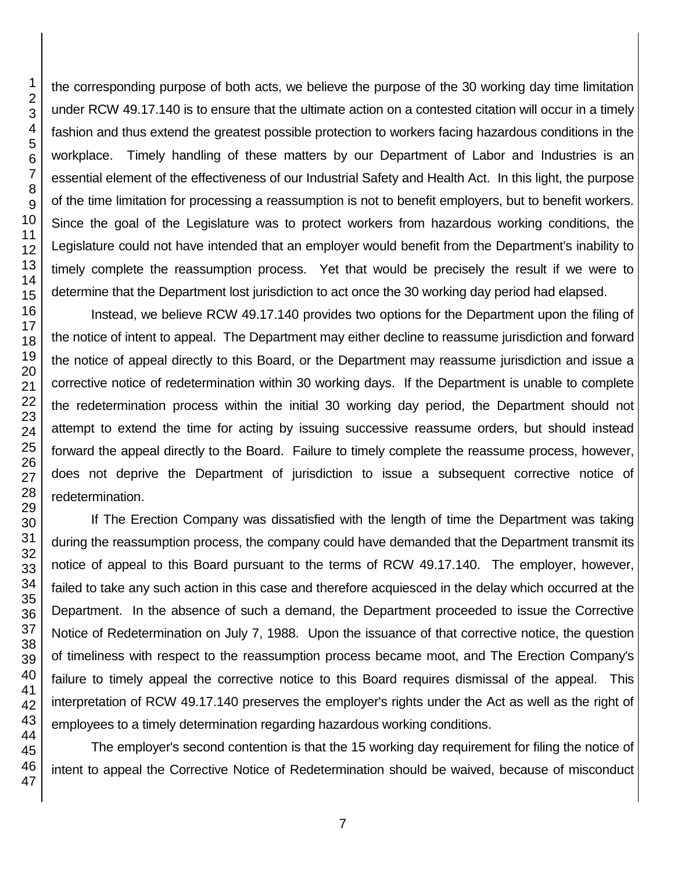the corresponding purpose of both acts, we believe the purpose of the 30 working day time limitation under RCW 49.17.140 is to ensure that the ultimate action on a contested citation will occur in a timely fashion and thus extend the greatest possible protection to workers facing hazardous conditions in the workplace. Timely handling of these matters by our Department of Labor and Industries is an essential element of the effectiveness of our Industrial Safety and Health Act. In this light, the purpose of the time limitation for processing a reassumption is not to benefit employers, but to benefit workers. Since the goal of the Legislature was to protect workers from hazardous working conditions, the Legislature could not have intended that an employer would benefit from the Department's inability to timely complete the reassumption process. Yet that would be precisely the result if we were to determine that the Department lost jurisdiction to act once the 30 working day period had elapsed.

Instead, we believe RCW 49.17.140 provides two options for the Department upon the filing of the notice of intent to appeal. The Department may either decline to reassume jurisdiction and forward the notice of appeal directly to this Board, or the Department may reassume jurisdiction and issue a corrective notice of redetermination within 30 working days. If the Department is unable to complete the redetermination process within the initial 30 working day period, the Department should not attempt to extend the time for acting by issuing successive reassume orders, but should instead forward the appeal directly to the Board. Failure to timely complete the reassume process, however, does not deprive the Department of jurisdiction to issue a subsequent corrective notice of redetermination.

If The Erection Company was dissatisfied with the length of time the Department was taking during the reassumption process, the company could have demanded that the Department transmit its notice of appeal to this Board pursuant to the terms of RCW 49.17.140. The employer, however, failed to take any such action in this case and therefore acquiesced in the delay which occurred at the Department. In the absence of such a demand, the Department proceeded to issue the Corrective Notice of Redetermination on July 7, 1988. Upon the issuance of that corrective notice, the question of timeliness with respect to the reassumption process became moot, and The Erection Company's failure to timely appeal the corrective notice to this Board requires dismissal of the appeal. This interpretation of RCW 49.17.140 preserves the employer's rights under the Act as well as the right of employees to a timely determination regarding hazardous working conditions.

The employer's second contention is that the 15 working day requirement for filing the notice of intent to appeal the Corrective Notice of Redetermination should be waived, because of misconduct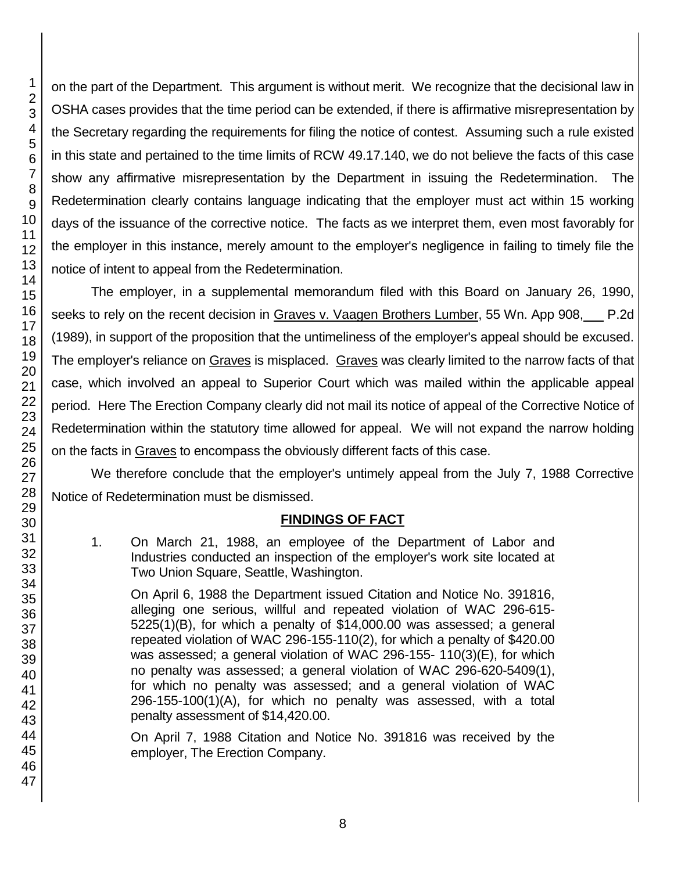on the part of the Department. This argument is without merit. We recognize that the decisional law in OSHA cases provides that the time period can be extended, if there is affirmative misrepresentation by the Secretary regarding the requirements for filing the notice of contest. Assuming such a rule existed in this state and pertained to the time limits of RCW 49.17.140, we do not believe the facts of this case show any affirmative misrepresentation by the Department in issuing the Redetermination. The Redetermination clearly contains language indicating that the employer must act within 15 working days of the issuance of the corrective notice. The facts as we interpret them, even most favorably for the employer in this instance, merely amount to the employer's negligence in failing to timely file the notice of intent to appeal from the Redetermination.

The employer, in a supplemental memorandum filed with this Board on January 26, 1990, seeks to rely on the recent decision in Graves v. Vaagen Brothers Lumber, 55 Wn. App 908, P.2d (1989), in support of the proposition that the untimeliness of the employer's appeal should be excused. The employer's reliance on Graves is misplaced. Graves was clearly limited to the narrow facts of that case, which involved an appeal to Superior Court which was mailed within the applicable appeal period. Here The Erection Company clearly did not mail its notice of appeal of the Corrective Notice of Redetermination within the statutory time allowed for appeal. We will not expand the narrow holding on the facts in Graves to encompass the obviously different facts of this case.

We therefore conclude that the employer's untimely appeal from the July 7, 1988 Corrective Notice of Redetermination must be dismissed.

# **FINDINGS OF FACT**

1. On March 21, 1988, an employee of the Department of Labor and Industries conducted an inspection of the employer's work site located at Two Union Square, Seattle, Washington.

On April 6, 1988 the Department issued Citation and Notice No. 391816, alleging one serious, willful and repeated violation of WAC 296-615- 5225(1)(B), for which a penalty of \$14,000.00 was assessed; a general repeated violation of WAC 296-155-110(2), for which a penalty of \$420.00 was assessed; a general violation of WAC 296-155- 110(3)(E), for which no penalty was assessed; a general violation of WAC 296-620-5409(1), for which no penalty was assessed; and a general violation of WAC 296-155-100(1)(A), for which no penalty was assessed, with a total penalty assessment of \$14,420.00.

On April 7, 1988 Citation and Notice No. 391816 was received by the employer, The Erection Company.